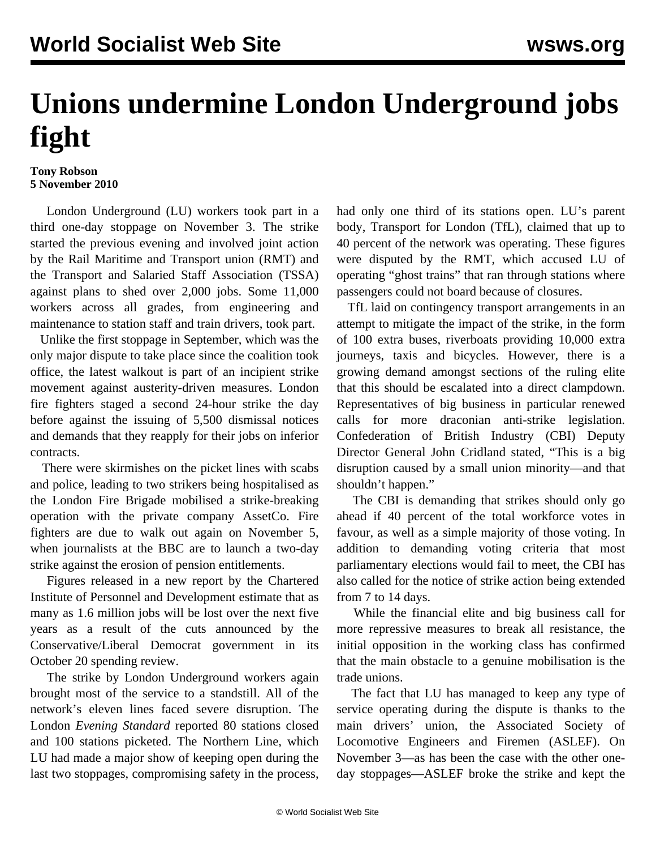## **Unions undermine London Underground jobs fight**

## **Tony Robson 5 November 2010**

 London Underground (LU) workers took part in a third one-day stoppage on November 3. The strike started the previous evening and involved joint action by the Rail Maritime and Transport union (RMT) and the Transport and Salaried Staff Association (TSSA) against plans to shed over 2,000 jobs. Some 11,000 workers across all grades, from engineering and maintenance to station staff and train drivers, took part.

 Unlike the first stoppage in September, which was the only major dispute to take place since the coalition took office, the latest walkout is part of an incipient strike movement against austerity-driven measures. London fire fighters staged a second 24-hour strike the day before against the issuing of 5,500 dismissal notices and demands that they reapply for their jobs on inferior contracts.

 There were skirmishes on the picket lines with scabs and police, leading to two strikers being hospitalised as the London Fire Brigade mobilised a strike-breaking operation with the private company AssetCo. Fire fighters are due to walk out again on November 5, when journalists at the BBC are to launch a two-day strike against the erosion of pension entitlements.

 Figures released in a new report by the Chartered Institute of Personnel and Development estimate that as many as 1.6 million jobs will be lost over the next five years as a result of the cuts announced by the Conservative/Liberal Democrat government in its October 20 spending review.

 The strike by London Underground workers again brought most of the service to a standstill. All of the network's eleven lines faced severe disruption. The London *Evening Standard* reported 80 stations closed and 100 stations picketed. The Northern Line, which LU had made a major show of keeping open during the last two stoppages, compromising safety in the process, had only one third of its stations open. LU's parent body, Transport for London (TfL), claimed that up to 40 percent of the network was operating. These figures were disputed by the RMT, which accused LU of operating "ghost trains" that ran through stations where passengers could not board because of closures.

 TfL laid on contingency transport arrangements in an attempt to mitigate the impact of the strike, in the form of 100 extra buses, riverboats providing 10,000 extra journeys, taxis and bicycles. However, there is a growing demand amongst sections of the ruling elite that this should be escalated into a direct clampdown. Representatives of big business in particular renewed calls for more draconian anti-strike legislation. Confederation of British Industry (CBI) Deputy Director General John Cridland stated, "This is a big disruption caused by a small union minority—and that shouldn't happen."

 The CBI is demanding that strikes should only go ahead if 40 percent of the total workforce votes in favour, as well as a simple majority of those voting. In addition to demanding voting criteria that most parliamentary elections would fail to meet, the CBI has also called for the notice of strike action being extended from 7 to 14 days.

 While the financial elite and big business call for more repressive measures to break all resistance, the initial opposition in the working class has confirmed that the main obstacle to a genuine mobilisation is the trade unions.

 The fact that LU has managed to keep any type of service operating during the dispute is thanks to the main drivers' union, the Associated Society of Locomotive Engineers and Firemen (ASLEF). On November 3—as has been the case with the other oneday stoppages—ASLEF broke the strike and kept the